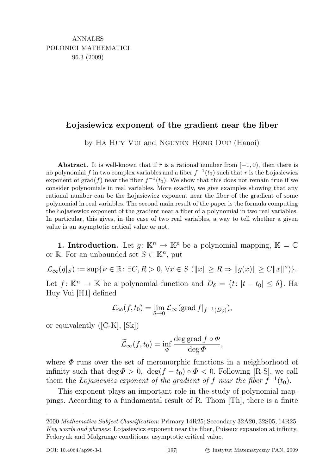## Łojasiewicz exponent of the gradient near the fiber

by Ha Huy Vui and Nguyen Hong Duc (Hanoi)

Abstract. It is well-known that if r is a rational number from  $[-1,0)$ , then there is no polynomial f in two complex variables and a fiber  $f^{-1}(t_0)$  such that r is the Łojasiewicz exponent of grad(f) near the fiber  $f^{-1}(t_0)$ . We show that this does not remain true if we consider polynomials in real variables. More exactly, we give examples showing that any rational number can be the Łojasiewicz exponent near the fiber of the gradient of some polynomial in real variables. The second main result of the paper is the formula computing the Łojasiewicz exponent of the gradient near a fiber of a polynomial in two real variables. In particular, this gives, in the case of two real variables, a way to tell whether a given value is an asymptotic critical value or not.

**1. Introduction.** Let  $q: \mathbb{K}^n \to \mathbb{K}^p$  be a polynomial mapping,  $\mathbb{K} = \mathbb{C}$ or  $\mathbb{R}$ . For an unbounded set  $S \subset \mathbb{K}^n$ , put

 $\mathcal{L}_{\infty}(g|_{S}) := \sup \{ \nu \in \mathbb{R} : \exists C, R > 0, \forall x \in S \ (\Vert x \Vert \geq R \Rightarrow \Vert g(x) \Vert \geq C \Vert x \Vert^{\nu}) \}.$ Let  $f: \mathbb{K}^n \to \mathbb{K}$  be a polynomial function and  $D_\delta = \{t: |t - t_0| \leq \delta\}$ . Ha Huy Vui [H1] defined

$$
\mathcal{L}_{\infty}(f, t_0) = \lim_{\delta \to 0} \mathcal{L}_{\infty}(\text{grad } f|_{f^{-1}(D_{\delta})}),
$$

or equivalently ([C-K], [Sk])

$$
\widetilde{\mathcal{L}}_{\infty}(f, t_0) = \inf_{\Phi} \frac{\deg \operatorname{grad} f \circ \Phi}{\deg \Phi},
$$

where  $\Phi$  runs over the set of meromorphic functions in a neighborhood of infinity such that deg  $\Phi > 0$ , deg(f – t<sub>0</sub>) ∘  $\Phi < 0$ . Following [R-S], we call them the Lojasiewicz exponent of the gradient of f near the fiber  $f^{-1}(t_0)$ .

This exponent plays an important role in the study of polynomial mappings. According to a fundamental result of R. Thom [Th], there is a finite

<sup>2000</sup> Mathematics Subject Classification: Primary 14R25; Secondary 32A20, 32S05, 14R25. Key words and phrases: Łojasiewicz exponent near the fiber, Puiseux expansion at infinity, Fedoryuk and Malgrange conditions, asymptotic critical value.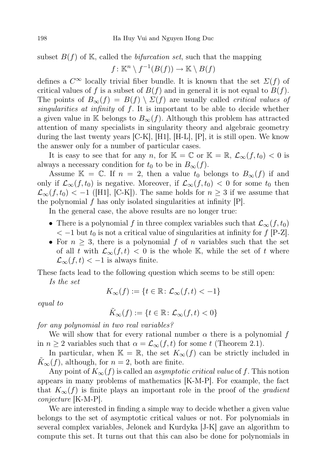subset  $B(f)$  of K, called the *bifurcation set*, such that the mapping

$$
f: \mathbb{K}^n \setminus f^{-1}(B(f)) \to \mathbb{K} \setminus B(f)
$$

defines a  $C^{\infty}$  locally trivial fiber bundle. It is known that the set  $\Sigma(f)$  of critical values of f is a subset of  $B(f)$  and in general it is not equal to  $B(f)$ . The points of  $B_{\infty}(f) = B(f) \setminus \Sigma(f)$  are usually called *critical values of* singularities at infinity of  $f$ . It is important to be able to decide whether a given value in K belongs to  $B_{\infty}(f)$ . Although this problem has attracted attention of many specialists in singularity theory and algebraic geometry during the last twenty years  $|C-K|$ ,  $|H1|$ ,  $|H-L|$ ,  $|P|$ , it is still open. We know the answer only for a number of particular cases.

It is easy to see that for any n, for  $\mathbb{K} = \mathbb{C}$  or  $\mathbb{K} = \mathbb{R}, \mathcal{L}_{\infty}(f, t_0) < 0$  is always a necessary condition for  $t_0$  to be in  $B_{\infty}(f)$ .

Assume K = C. If  $n = 2$ , then a value  $t_0$  belongs to  $B_{\infty}(f)$  if and only if  $\mathcal{L}_{\infty}(f, t_0)$  is negative. Moreover, if  $\mathcal{L}_{\infty}(f, t_0) < 0$  for some  $t_0$  then  $\mathcal{L}_{\infty}(f, t_0) < -1$  ([H1], [C-K]). The same holds for  $n \geq 3$  if we assume that the polynomial f has only isolated singularities at infinity  $[P]$ .

In the general case, the above results are no longer true:

- There is a polynomial f in three complex variables such that  $\mathcal{L}_{\infty}(f, t_0)$  $<-1$  but  $t_0$  is not a critical value of singularities at infinity for f [P-Z].
- For  $n \geq 3$ , there is a polynomial f of n variables such that the set of all t with  $\mathcal{L}_{\infty}(f,t) < 0$  is the whole K, while the set of t where  $\mathcal{L}_{\infty}(f,t) < -1$  is always finite.

These facts lead to the following question which seems to be still open:

Is the set

$$
K_{\infty}(f) := \{ t \in \mathbb{R} \colon \mathcal{L}_{\infty}(f, t) < -1 \}
$$

equal to

$$
\tilde{K}_{\infty}(f):=\{t\in\mathbb{R}\colon\mathcal{L}_{\infty}(f,t)<0\}
$$

for any polynomial in two real variables?

We will show that for every rational number  $\alpha$  there is a polynomial f in  $n \geq 2$  variables such that  $\alpha = \mathcal{L}_{\infty}(f, t)$  for some t (Theorem 2.1).

In particular, when  $\mathbb{K} = \mathbb{R}$ , the set  $K_{\infty}(f)$  can be strictly included in  $K_{\infty}(f)$ , although, for  $n = 2$ , both are finite.

Any point of  $K_{\infty}(f)$  is called an *asymptotic critical value* of f. This notion appears in many problems of mathematics [K-M-P]. For example, the fact that  $K_{\infty}(f)$  is finite plays an important role in the proof of the gradient conjecture [K-M-P].

We are interested in finding a simple way to decide whether a given value belongs to the set of asymptotic critical values or not. For polynomials in several complex variables, Jelonek and Kurdyka [J-K] gave an algorithm to compute this set. It turns out that this can also be done for polynomials in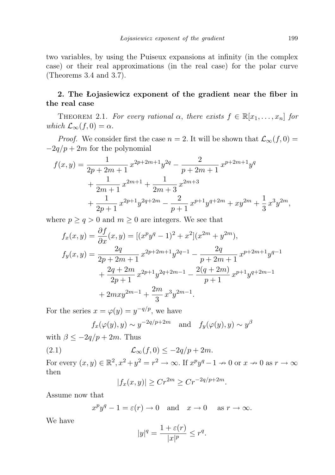two variables, by using the Puiseux expansions at infinity (in the complex case) or their real approximations (in the real case) for the polar curve (Theorems 3.4 and 3.7).

## 2. The Łojasiewicz exponent of the gradient near the fiber in the real case

THEOREM 2.1. For every rational  $\alpha$ , there exists  $f \in \mathbb{R}[x_1, \ldots, x_n]$  for which  $\mathcal{L}_{\infty}(f, 0) = \alpha$ .

*Proof.* We consider first the case  $n = 2$ . It will be shown that  $\mathcal{L}_{\infty}(f, 0) =$  $-2q/p + 2m$  for the polynomial

$$
f(x,y) = \frac{1}{2p+2m+1} x^{2p+2m+1} y^{2q} - \frac{2}{p+2m+1} x^{p+2m+1} y^q
$$
  
+ 
$$
\frac{1}{2m+1} x^{2m+1} + \frac{1}{2m+3} x^{2m+3}
$$
  
+ 
$$
\frac{1}{2p+1} x^{2p+1} y^{2q+2m} - \frac{2}{p+1} x^{p+1} y^{q+2m} + xy^{2m} + \frac{1}{3} x^3 y^{2m},
$$

where  $p \ge q > 0$  and  $m \ge 0$  are integers. We see that

$$
f_x(x,y) = \frac{\partial f}{\partial x}(x,y) = [(x^p y^q - 1)^2 + x^2](x^{2m} + y^{2m}),
$$
  
\n
$$
f_y(x,y) = \frac{2q}{2p + 2m + 1}x^{2p + 2m + 1}y^{2q - 1} - \frac{2q}{p + 2m + 1}x^{p + 2m + 1}y^{q - 1}
$$
  
\n
$$
+ \frac{2q + 2m}{2p + 1}x^{2p + 1}y^{2q + 2m - 1} - \frac{2(q + 2m)}{p + 1}x^{p + 1}y^{q + 2m - 1}
$$
  
\n
$$
+ 2mxy^{2m - 1} + \frac{2m}{3}x^3y^{2m - 1}.
$$

For the series  $x = \varphi(y) = y^{-q/p}$ , we have

$$
f_x(\varphi(y), y) \sim y^{-2q/p+2m}
$$
 and  $f_y(\varphi(y), y) \sim y^{\beta}$ 

with  $\beta \leq -2q/p + 2m$ . Thus

(2.1) 
$$
\mathcal{L}_{\infty}(f,0) \leq -2q/p + 2m.
$$

For every  $(x, y) \in \mathbb{R}^2$ ,  $x^2 + y^2 = r^2 \to \infty$ . If  $x^p y^q - 1 \to 0$  or  $x \to 0$  as  $r \to \infty$ then

$$
|f_x(x, y)| \ge Cr^{2m} \ge Cr^{-2q/p + 2m}.
$$

Assume now that

$$
x^p y^q - 1 = \varepsilon(r) \to 0
$$
 and  $x \to 0$  as  $r \to \infty$ .

We have

$$
|y|^q = \frac{1 + \varepsilon(r)}{|x|^p} \le r^q.
$$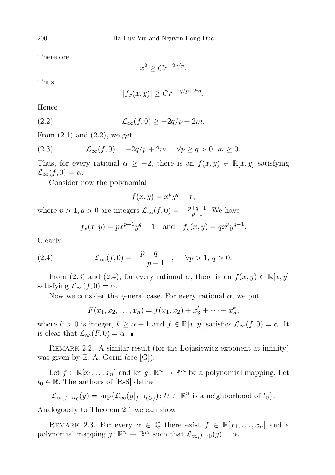Therefore

 $x^2 \geq Cr^{-2q/p}.$ 

Thus

$$
|f_x(x,y)| \ge Cr^{-2q/p+2m}.
$$

Hence

(2.2) 
$$
\mathcal{L}_{\infty}(f,0) \geq -2q/p + 2m.
$$

From  $(2.1)$  and  $(2.2)$ , we get

(2.3) 
$$
\mathcal{L}_{\infty}(f,0) = -2q/p + 2m \quad \forall p \ge q > 0, m \ge 0.
$$

Thus, for every rational  $\alpha \geq -2$ , there is an  $f(x, y) \in \mathbb{R}[x, y]$  satisfying  $\mathcal{L}_{\infty}(f, 0) = \alpha.$ 

Consider now the polynomial

$$
f(x,y) = x^p y^q - x,
$$

where  $p > 1, q > 0$  are integers  $\mathcal{L}_{\infty}(f, 0) = -\frac{p+q-1}{p-1}$  $\frac{+q-1}{p-1}$ . We have

$$
f_x(x, y) = px^{p-1}y^q - 1
$$
 and  $f_y(x, y) = qx^py^{q-1}$ .

Clearly

(2.4) 
$$
\mathcal{L}_{\infty}(f,0) = -\frac{p+q-1}{p-1}, \quad \forall p > 1, q > 0.
$$

From (2.3) and (2.4), for every rational  $\alpha$ , there is an  $f(x, y) \in \mathbb{R}[x, y]$ satisfying  $\mathcal{L}_{\infty}(f, 0) = \alpha$ .

Now we consider the general case. For every rational  $\alpha$ , we put

$$
F(x_1, x_2, \dots, x_n) = f(x_1, x_2) + x_3^k + \dots + x_n^k,
$$

where  $k > 0$  is integer,  $k \ge \alpha + 1$  and  $f \in \mathbb{R}[x, y]$  satisfies  $\mathcal{L}_{\infty}(f, 0) = \alpha$ . It is clear that  $\mathcal{L}_{\infty}(F, 0) = \alpha$ .

REMARK 2.2. A similar result (for the Łojasiewicz exponent at infinity) was given by E. A. Gorin (see [G]).

Let  $f \in \mathbb{R}[x_1, \dots x_n]$  and let  $g: \mathbb{R}^n \to \mathbb{R}^m$  be a polynomial mapping. Let  $t_0 \in \mathbb{R}$ . The authors of [R-S] define

$$
\mathcal{L}_{\infty,f\to t_0}(g) = \sup \{ \mathcal{L}_{\infty}(g|_{f^{-1}(U)}) : U \subset \mathbb{R}^n \text{ is a neighborhood of } t_0 \}.
$$

Analogously to Theorem 2.1 we can show

REMARK 2.3. For every  $\alpha \in \mathbb{Q}$  there exist  $f \in \mathbb{R}[x_1, \ldots, x_n]$  and a polynomial mapping  $g: \mathbb{R}^n \to \mathbb{R}^m$  such that  $\mathcal{L}_{\infty,f\to 0}(g) = \alpha$ .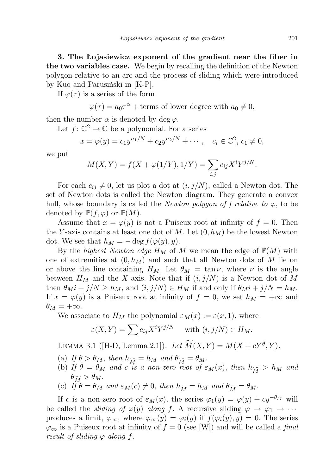3. The Łojasiewicz exponent of the gradient near the fiber in the two variables case. We begin by recalling the definition of the Newton polygon relative to an arc and the process of sliding which were introduced by Kuo and Parusiński in [K-P].

If  $\varphi(\tau)$  is a series of the form

 $\varphi(\tau) = a_0 \tau^{\alpha} + \text{terms of lower degree with } a_0 \neq 0,$ 

then the number  $\alpha$  is denoted by deg  $\varphi$ .

Let  $f: \mathbb{C}^2 \to \mathbb{C}$  be a polynomial. For a series

$$
x = \varphi(y) = c_1 y^{n_1/N} + c_2 y^{n_2/N} + \cdots, \quad c_i \in \mathbb{C}^2, \, c_1 \neq 0,
$$

we put

$$
M(X,Y) = f(X + \varphi(1/Y), 1/Y) = \sum_{i,j} c_{ij} X^i Y^{j/N}.
$$

For each  $c_{ij} \neq 0$ , let us plot a dot at  $(i, j/N)$ , called a Newton dot. The set of Newton dots is called the Newton diagram. They generate a convex hull, whose boundary is called the *Newton polygon of f relative to*  $\varphi$ , to be denoted by  $\mathbb{P}(f, \varphi)$  or  $\mathbb{P}(M)$ .

Assume that  $x = \varphi(y)$  is not a Puiseux root at infinity of  $f = 0$ . Then the Y-axis contains at least one dot of M. Let  $(0, h_M)$  be the lowest Newton dot. We see that  $h_M = -\deg f(\varphi(y), y)$ .

By the *highest Newton edge*  $H_M$  of M we mean the edge of  $\mathbb{P}(M)$  with one of extremities at  $(0, h_M)$  and such that all Newton dots of M lie on or above the line containing  $H_M$ . Let  $\theta_M = \tan \nu$ , where  $\nu$  is the angle between  $H_M$  and the X-axis. Note that if  $(i, j/N)$  is a Newton dot of M then  $\theta_M i + j/N \ge h_M$ , and  $(i, j/N) \in H_M$  if and only if  $\theta_M i + j/N = h_M$ . If  $x = \varphi(y)$  is a Puiseux root at infinity of  $f = 0$ , we set  $h_M = +\infty$  and  $\theta_M = +\infty.$ 

We associate to  $H_M$  the polynomial  $\varepsilon_M(x) := \varepsilon(x, 1)$ , where

$$
\varepsilon(X,Y) = \sum c_{ij} X^i Y^{j/N} \quad \text{with } (i,j/N) \in H_M.
$$

LEMMA 3.1 ([H-D, Lemma 2.1]). Let  $\widetilde{M}(X,Y) = M(X + cY^{\theta}, Y)$ .

- (a) If  $\theta > \theta_M$ , then  $h_{\widetilde{M}} = h_M$  and  $\theta_{\widetilde{M}} = \theta_M$ .
- (b) If  $\theta = \theta_M$  and c is a non-zero root of  $\varepsilon_M(x)$ , then  $h_{\widetilde{M}} > h_M$  and  $\theta_{\widetilde{M}} > \theta_M$ .
- (c)  $I_f^{\mu\nu} \theta = \theta_M$  and  $\varepsilon_M(c) \neq 0$ , then  $h_{\widetilde{M}} = h_M$  and  $\theta_{\widetilde{M}} = \theta_M$ .

If c is a non-zero root of  $\varepsilon_M(x)$ , the series  $\varphi_1(y) = \varphi(y) + cy^{-\theta_M}$  will be called the *sliding of*  $\varphi(y)$  along f. A recursive sliding  $\varphi \to \varphi_1 \to \cdots$ produces a limit,  $\varphi_{\infty}$ , where  $\varphi_{\infty}(y) = \varphi_i(y)$  if  $f(\varphi_i(y), y) = 0$ . The series  $\varphi_{\infty}$  is a Puiseux root at infinity of  $f = 0$  (see [W]) and will be called a final result of sliding  $\varphi$  along f.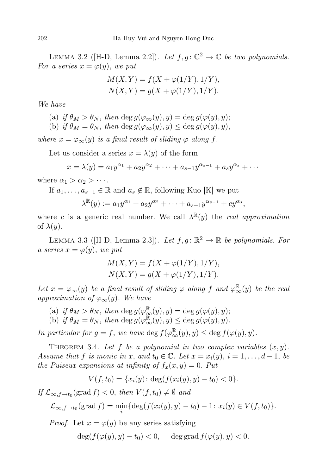LEMMA 3.2 ([H-D, Lemma 2.2]). Let  $f, g: \mathbb{C}^2 \to \mathbb{C}$  be two polynomials. For a series  $x = \varphi(y)$ , we put

$$
M(X,Y) = f(X + \varphi(1/Y), 1/Y),
$$
  
 
$$
N(X,Y) = g(X + \varphi(1/Y), 1/Y).
$$

We have

- (a) if  $\theta_M > \theta_N$ , then deg  $g(\varphi_\infty(y), y) = \deg g(\varphi(y), y);$
- (b) if  $\theta_M = \theta_N$ , then deg  $g(\varphi_\infty(y), y) \leq \deg g(\varphi(y), y)$ ,

where  $x = \varphi_{\infty}(y)$  is a final result of sliding  $\varphi$  along f.

Let us consider a series  $x = \lambda(y)$  of the form

$$
x = \lambda(y) = a_1 y^{\alpha_1} + a_2 y^{\alpha_2} + \dots + a_{s-1} y^{\alpha_{s-1}} + a_s y^{\alpha_s} + \dots
$$

where  $\alpha_1 > \alpha_2 > \cdots$ .

If  $a_1, \ldots, a_{s-1} \in \mathbb{R}$  and  $a_s \notin \mathbb{R}$ , following Kuo [K] we put

$$
\lambda^{\mathbb{R}}(y) := a_1 y^{\alpha_1} + a_2 y^{\alpha_2} + \dots + a_{s-1} y^{\alpha_{s-1}} + c y^{\alpha_s},
$$

where c is a generic real number. We call  $\lambda^{\mathbb{R}}(y)$  the real approximation of  $\lambda(y)$ .

LEMMA 3.3 ([H-D, Lemma 2.3]). Let  $f, g: \mathbb{R}^2 \to \mathbb{R}$  be polynomials. For a series  $x = \varphi(y)$ , we put

$$
M(X,Y) = f(X + \varphi(1/Y), 1/Y),
$$
  
 
$$
N(X,Y) = g(X + \varphi(1/Y), 1/Y).
$$

Let  $x = \varphi_\infty(y)$  be a final result of sliding  $\varphi$  along f and  $\varphi_\infty^{\mathbb{R}}(y)$  be the real approximation of  $\varphi_{\infty}(y)$ . We have

(a) if  $\theta_M > \theta_N$ , then  $\deg g(\varphi_\infty^{\mathbb{R}}(y), y) = \deg g(\varphi(y), y);$ (b) if  $\theta_M = \theta_N$ , then deg  $g(\varphi^{\mathbb{R}}_{\infty}(y), y) \leq \deg g(\varphi(y), y)$ .

In particular for  $g = f$ , we have  $\deg f(\varphi_{\infty}^{\mathbb{R}}(y), y) \leq \deg f(\varphi(y), y)$ .

THEOREM 3.4. Let f be a polynomial in two complex variables  $(x, y)$ . Assume that f is monic in x, and  $t_0 \in \mathbb{C}$ . Let  $x = x_i(y)$ ,  $i = 1, \ldots, d-1$ , be the Puiseux expansions at infinity of  $f_x(x, y) = 0$ . Put

$$
V(f, t_0) = \{x_i(y) : \deg(f(x_i(y), y) - t_0) < 0\}.
$$

If  $\mathcal{L}_{\infty,f\to t_0}(\text{grad } f) < 0$ , then  $V(f,t_0) \neq \emptyset$  and

$$
\mathcal{L}_{\infty,f \to t_0}(\text{grad } f) = \min_i \{ \deg(f(x_i(y), y) - t_0) - 1 \colon x_i(y) \in V(f, t_0) \}.
$$

*Proof.* Let  $x = \varphi(y)$  be any series satisfying

$$
\deg(f(\varphi(y), y) - t_0) < 0, \quad \deg \operatorname{grad} f(\varphi(y), y) < 0.
$$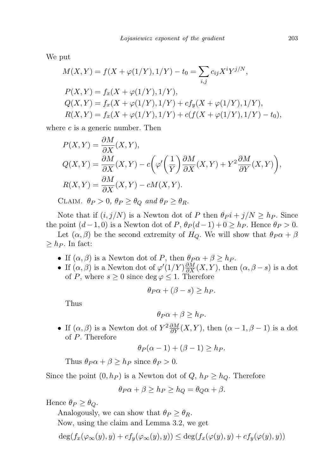We put

$$
M(X,Y) = f(X + \varphi(1/Y), 1/Y) - t_0 = \sum_{i,j} c_{ij} X^i Y^{j/N},
$$
  
\n
$$
P(X,Y) = f_x(X + \varphi(1/Y), 1/Y),
$$
  
\n
$$
Q(X,Y) = f_x(X + \varphi(1/Y), 1/Y) + cf_y(X + \varphi(1/Y), 1/Y),
$$
  
\n
$$
R(X,Y) = f_x(X + \varphi(1/Y), 1/Y) + c(f(X + \varphi(1/Y), 1/Y) - t_0),
$$

where  $c$  is a generic number. Then

$$
P(X,Y) = \frac{\partial M}{\partial X}(X,Y),
$$
  
\n
$$
Q(X,Y) = \frac{\partial M}{\partial X}(X,Y) - c\left(\varphi'\left(\frac{1}{Y}\right)\frac{\partial M}{\partial X}(X,Y) + Y^2\frac{\partial M}{\partial Y}(X,Y)\right),
$$
  
\n
$$
R(X,Y) = \frac{\partial M}{\partial X}(X,Y) - cM(X,Y).
$$

CLAIM.  $\theta_P > 0$ ,  $\theta_P \ge \theta_Q$  and  $\theta_P \ge \theta_R$ .

Note that if  $(i, j/N)$  is a Newton dot of P then  $\theta P + j/N \ge h_P$ . Since the point  $(d-1, 0)$  is a Newton dot of  $P$ ,  $\theta_P(d-1) + 0 \geq h_P$ . Hence  $\theta_P > 0$ .

Let  $(\alpha, \beta)$  be the second extremity of  $H_Q$ . We will show that  $\theta_P \alpha + \beta$  $\geq h_P$ . In fact:

- If  $(\alpha, \beta)$  is a Newton dot of P, then  $\theta_P \alpha + \beta \geq h_P$ .
- If  $(\alpha, \beta)$  is a Newton dot of  $\varphi'(1/Y) \frac{\partial M}{\partial X}(X, Y)$ , then  $(\alpha, \beta s)$  is a dot of P, where  $s \geq 0$  since  $\deg \varphi \leq 1$ . Therefore

$$
\theta_P \alpha + (\beta - s) \ge h_P.
$$

Thus

$$
\theta_P \alpha + \beta \ge h_P.
$$

• If  $(\alpha, \beta)$  is a Newton dot of  $Y^2 \frac{\partial M}{\partial Y}(X, Y)$ , then  $(\alpha - 1, \beta - 1)$  is a dot of P. Therefore

$$
\theta_P(\alpha - 1) + (\beta - 1) \ge h_P.
$$

Thus  $\theta_P \alpha + \beta \geq h_P$  since  $\theta_P > 0$ .

Since the point  $(0, h_P)$  is a Newton dot of  $Q, h_P \ge h_Q$ . Therefore

$$
\theta_P \alpha + \beta \ge h_P \ge h_Q = \theta_Q \alpha + \beta.
$$

Hence  $\theta_P \geq \theta_Q$ .

Analogously, we can show that  $\theta_P \geq \theta_R$ .

Now, using the claim and Lemma 3.2, we get

$$
\deg(f_x(\varphi_\infty(y),y)+cf_y(\varphi_\infty(y),y))\leq \deg(f_x(\varphi(y),y)+cf_y(\varphi(y),y))
$$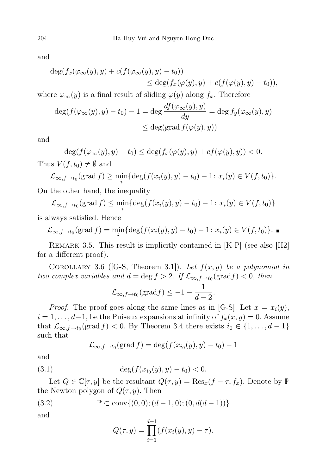and

$$
\deg(f_x(\varphi_\infty(y), y) + c(f(\varphi_\infty(y), y) - t_0))
$$
  
\n
$$
\leq \deg(f_x(\varphi(y), y) + c(f(\varphi(y), y) - t_0)),
$$

where  $\varphi_{\infty}(y)$  is a final result of sliding  $\varphi(y)$  along  $f_x$ . Therefore

$$
\deg(f(\varphi_{\infty}(y), y) - t_0) - 1 = \deg \frac{df(\varphi_{\infty}(y), y)}{dy} = \deg f_y(\varphi_{\infty}(y), y)
$$
  

$$
\leq \deg(\text{grad } f(\varphi(y), y))
$$

and

$$
\deg(f(\varphi_{\infty}(y), y) - t_0) \le \deg(f_x(\varphi(y), y) + cf(\varphi(y), y)) < 0.
$$

Thus  $V(f, t_0) \neq \emptyset$  and

$$
\mathcal{L}_{\infty,f\to t_0}(\text{grad } f) \geq \min_i \{ \deg(f(x_i(y), y) - t_0) - 1 \colon x_i(y) \in V(f, t_0) \}.
$$

On the other hand, the inequality

$$
\mathcal{L}_{\infty,f\to t_0}(\operatorname{grad} f) \le \min_i \{ \deg(f(x_i(y), y) - t_0) - 1 \colon x_i(y) \in V(f, t_0) \}
$$

is always satisfied. Hence

$$
\mathcal{L}_{\infty,f\to t_0}(\text{grad } f) = \min_i \{ \deg(f(x_i(y), y) - t_0) - 1 \colon x_i(y) \in V(f, t_0) \}.
$$

REMARK 3.5. This result is implicitly contained in [K-P] (see also [H2] for a different proof).

COROLLARY 3.6 ([G-S, Theorem 3.1]). Let  $f(x, y)$  be a polynomial in two complex variables and  $d = \deg f > 2$ . If  $\mathcal{L}_{\infty, f \to t_0}(\text{grad} f) < 0$ , then

$$
\mathcal{L}_{\infty,f\to t_0}(\text{grad} f) \leq -1 - \frac{1}{d-2}.
$$

*Proof.* The proof goes along the same lines as in [G-S]. Let  $x = x_i(y)$ ,  $i = 1, \ldots, d-1$ , be the Puiseux expansions at infinity of  $f_x(x, y) = 0$ . Assume that  $\mathcal{L}_{\infty,f\to t_0}(\text{grad } f) < 0$ . By Theorem 3.4 there exists  $i_0 \in \{1,\ldots,d-1\}$ such that

$$
\mathcal{L}_{\infty,f\to t_0}(\text{grad } f) = \deg(f(x_{i_0}(y),y) - t_0) - 1
$$

and

(3.1) 
$$
\deg(f(x_{i_0}(y), y) - t_0) < 0.
$$

Let  $Q \in \mathbb{C}[\tau, y]$  be the resultant  $Q(\tau, y) = \text{Res}_x(f - \tau, f_x)$ . Denote by  $\mathbb{P}$ the Newton polygon of  $Q(\tau, y)$ . Then

$$
(3.2) \qquad \mathbb{P} \subset \text{conv}\{(0,0); (d-1,0); (0, d(d-1))\}
$$

and

$$
Q(\tau, y) = \prod_{i=1}^{d-1} (f(x_i(y), y) - \tau).
$$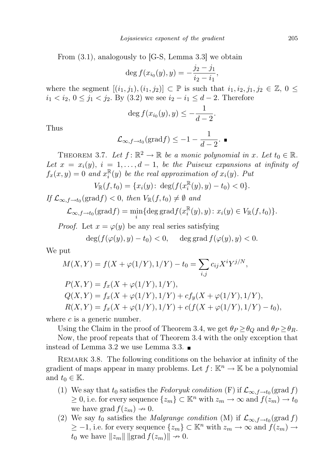From (3.1), analogously to [G-S, Lemma 3.3] we obtain

$$
\deg f(x_{i_0}(y), y) = -\frac{j_2 - j_1}{i_2 - i_1},
$$

where the segment  $[(i_1, j_1), (i_1, j_2)] \subset \mathbb{P}$  is such that  $i_1, i_2, j_1, j_2 \in \mathbb{Z}$ ,  $0 \leq$  $i_1 < i_2, 0 ≤ j_1 < j_2$ . By (3.2) we see  $i_2 - i_1 ≤ d - 2$ . Therefore

$$
\deg f(x_{i_0}(y), y) \leq -\frac{1}{d-2}.
$$

Thus

$$
\mathcal{L}_{\infty,f\rightarrow t_0}(\text{grad} f) \leq -1 - \frac{1}{d-2}.
$$

THEOREM 3.7. Let  $f: \mathbb{R}^2 \to \mathbb{R}$  be a monic polynomial in x. Let  $t_0 \in \mathbb{R}$ . Let  $x = x_i(y)$ ,  $i = 1, \ldots, d-1$ , be the Puiseux expansions at infinity of  $f_x(x, y) = 0$  and  $x_i^{\mathbb{R}}$  $i(u)$  be the real approximation of  $x_i(y)$ . Put

$$
V_{\mathbb{R}}(f,t_0) = \{x_i(y) \colon \deg(f(x_i^{\mathbb{R}}(y), y) - t_0) < 0\}.
$$

If  $\mathcal{L}_{\infty,f\to t_0}(\text{grad } f) < 0$ , then  $V_{\mathbb{R}}(f, t_0) \neq \emptyset$  and

$$
\mathcal{L}_{\infty,f\to t_0}(\text{grad} f) = \min_i \{ \deg \text{grad} f(x_i^{\mathbb{R}}(y),y) : x_i(y) \in V_{\mathbb{R}}(f,t_0) \}.
$$

*Proof.* Let  $x = \varphi(y)$  be any real series satisfying

$$
\deg(f(\varphi(y), y) - t_0) < 0, \quad \deg \operatorname{grad} f(\varphi(y), y) < 0.
$$

We put

$$
M(X,Y) = f(X + \varphi(1/Y), 1/Y) - t_0 = \sum_{i,j} c_{ij} X^i Y^{j/N},
$$
  
\n
$$
P(X,Y) = f_x(X + \varphi(1/Y), 1/Y),
$$
  
\n
$$
Q(X,Y) = f_x(X + \varphi(1/Y), 1/Y) + cf_y(X + \varphi(1/Y), 1/Y),
$$
  
\n
$$
R(X,Y) = f_x(X + \varphi(1/Y), 1/Y) + c(f(X + \varphi(1/Y), 1/Y) - t_0),
$$

where  $c$  is a generic number.

Using the Claim in the proof of Theorem 3.4, we get  $\theta_P \geq \theta_Q$  and  $\theta_P \geq \theta_R$ .

Now, the proof repeats that of Theorem 3.4 with the only exception that instead of Lemma 3.2 we use Lemma 3.3.

REMARK 3.8. The following conditions on the behavior at infinity of the gradient of maps appear in many problems. Let  $f: \mathbb{K}^n \to \mathbb{K}$  be a polynomial and  $t_0 \in \mathbb{K}$ .

- (1) We say that  $t_0$  satisfies the *Fedoryuk condition* (F) if  $\mathcal{L}_{\infty,f\rightarrow t_0}(\text{grad } f)$  $\geq 0$ , i.e. for every sequence  $\{z_m\} \subset \mathbb{K}^n$  with  $z_m \to \infty$  and  $f(z_m) \to t_0$ we have grad  $f(z_m) \to 0$ .
- (2) We say  $t_0$  satisfies the *Malgrange condition* (M) if  $\mathcal{L}_{\infty,f\rightarrow t_0}(\text{grad } f)$  $\geq -1$ , i.e. for every sequence  $\{z_m\} \subset \mathbb{K}^n$  with  $z_m \to \infty$  and  $f(z_m) \to$  $t_0$  we have  $||z_m||$  | grad  $f(z_m)|| \rightarrow 0$ .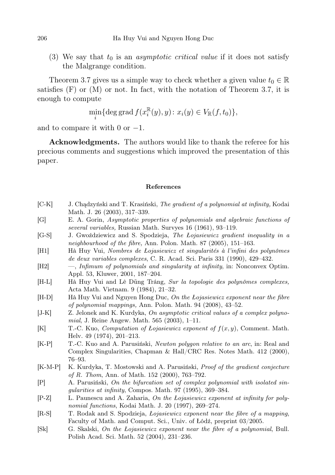(3) We say that  $t_0$  is an *asymptotic critical value* if it does not satisfy the Malgrange condition.

Theorem 3.7 gives us a simple way to check whether a given value  $t_0 \in \mathbb{R}$ satisfies  $(F)$  or  $(M)$  or not. In fact, with the notation of Theorem 3.7, it is enough to compute

$$
\min_{i} \{ \deg \operatorname{grad} f(x_i^{\mathbb{R}}(y), y) \colon x_i(y) \in V_{\mathbb{R}}(f, t_0) \},
$$

and to compare it with 0 or  $-1$ .

Acknowledgments. The authors would like to thank the referee for his precious comments and suggestions which improved the presentation of this paper.

## References

- [C-K] J. Chądzyński and T. Krasiński, The gradient of a polynomial at infinity, Kodai Math. J. 26 (2003), 317–339.
- [G] E. A. Gorin, Asymptotic properties of polynomials and algebraic functions of several variables, Russian Math. Survyes 16 (1961), 93–119.
- [G-S] J. Gwoździewicz and S. Spodzieja, The Łojasiewicz gradient inequality in a neighbourhood of the fibre, Ann. Polon. Math. 87 (2005), 151–163.
- [H1] Hà Huy Vui, Nombres de Łojasiewicz et singularités à l'infini des polynômes de deux variables complexes, C. R. Acad. Sci. Paris 331 (1990), 429–432.
- [H2] —, Infimum of polynomials and singularity at infinity, in: Nonconvex Optim. Appl. 53, Kluwer, 2001, 187–204.
- [H-L] Hà Huy Vui and Lê Dũng Tráng, Sur la topologie des polynômes complexes, Acta Math. Vietnam. 9 (1984), 21–32.
- [H-D] Hà Huy Vui and Nguyen Hong Duc, On the Łojasiewicz exponent near the fibre of polynomial mappings, Ann. Polon. Math. 94 (2008), 43–52.
- [J-K] Z. Jelonek and K. Kurdyka, On asymptotic critical values of a complex polynomial, J. Reine Angew. Math. 565 (2003), 1–11.
- [K] T.-C. Kuo, *Computation of Lojasiewicz exponent of*  $f(x, y)$ , Comment. Math. Helv. 49 (1974), 201–213.
- [K-P] T.-C. Kuo and A. Parusiński, Newton polygon relative to an arc, in: Real and Complex Singularities, Chapman & Hall/CRC Res. Notes Math. 412 (2000), 76–93.
- [K-M-P] K. Kurdyka, T. Mostowski and A. Parusiński, Proof of the gradient conjecture of R. Thom, Ann. of Math. 152 (2000), 763–792.
- [P] A. Parusiński, On the bifurcation set of complex polynomial with isolated singularities at infinity, Compos. Math. 97 (1995), 369–384.
- [P-Z] L. Paunescu and A. Zaharia, On the Łojasiewicz exponent at infinity for polynomial functions, Kodai Math. J. 20 (1997), 269–274.
- [R-S] T. Rodak and S. Spodzieja, Łojasiewicz exponent near the fibre of a mapping, Faculty of Math. and Comput. Sci., Univ. of Łódź, preprint 03/2005.
- [Sk] G. Skalski, On the Łojasiewicz exponent near the fibre of a polynomial, Bull. Polish Acad. Sci. Math. 52 (2004), 231–236.